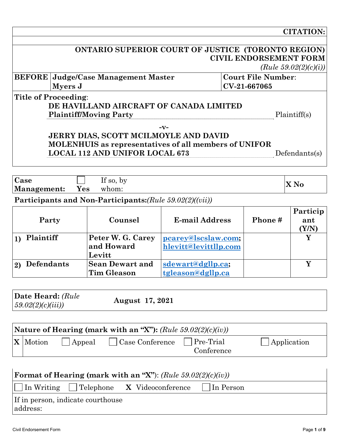#### **CITATION:**

| <b>ONTARIO SUPERIOR COURT OF JUSTICE (TORONTO REGION)</b> |  |
|-----------------------------------------------------------|--|
| <b>CIVIL ENDORSEMENT FORM</b>                             |  |
|                                                           |  |

*(Rule 59.02(2)(c)(i))*

|                                         | BEFORE   Judge/Case Management Master | Court File Number: |  |  |
|-----------------------------------------|---------------------------------------|--------------------|--|--|
|                                         | Myers J                               | $ CV-21-667065 $   |  |  |
| Title of Proceeding:                    |                                       |                    |  |  |
| DE HAVILLAND AIRCRAFT OF CANADA LIMITED |                                       |                    |  |  |
|                                         | <b>Plaintiff/Moving Party</b>         | Plaintiff(s)       |  |  |

**-v-**

# **JERRY DIAS, SCOTT MCILMOYLE AND DAVID MOLENHUIS as representatives of all members of UNIFOR LOCAL 112 AND UNIFOR LOCAL 673** Defendants(s)

| <b>Case</b> |           | $\mathbf{r}$ $\alpha$<br>by<br>$\overline{11}$ so, |       |
|-------------|-----------|----------------------------------------------------|-------|
| Management: | T7<br>Yes | whom:                                              | A IVO |

#### **Participants and Non-Participants:***(Rule 59.02(2)((vii))*

|    | Party             | Counsel                | <b>E-mail Address</b> | Phone# | Particip<br>ant<br>Y/N |
|----|-------------------|------------------------|-----------------------|--------|------------------------|
|    | Plaintiff         | Peter W. G. Carey      | pcarey@lscslaw.com;   |        |                        |
|    |                   | and Howard             | hlevitt@levittllp.com |        |                        |
|    |                   | Levitt                 |                       |        |                        |
| 2) | <b>Defendants</b> | <b>Sean Dewart and</b> | sdewart@dgllp.ca;     |        |                        |
|    |                   | <b>Tim Gleason</b>     | tgleason@dgllp.ca     |        |                        |

| Date Heard: (Rule<br><b>August</b> 17, 2021<br>(59.02(2)(c)(iii)) |
|-------------------------------------------------------------------|
|-------------------------------------------------------------------|

| Nature of Hearing (mark with an "X"): $(Rule\ 59.02(2)(c)(iv))$ |                     |                |                                 |                             |                     |
|-----------------------------------------------------------------|---------------------|----------------|---------------------------------|-----------------------------|---------------------|
|                                                                 | $\mathbf{X}$ Motion | $\vert$ Appeal | $\vert$ $\vert$ Case Conference | $ $ Pre-Trial<br>Conference | $\vert$ Application |

| <b>Format of Hearing (mark with an "X"):</b> (Rule $59.02(2)(c)(iv)$ ) |  |  |                                                                         |  |  |
|------------------------------------------------------------------------|--|--|-------------------------------------------------------------------------|--|--|
|                                                                        |  |  | $\ \ \ $ In Writing $\ \ $ Telephone X Videoconference $\ \ $ In Person |  |  |
| If in person, indicate courthouse                                      |  |  |                                                                         |  |  |
| address:                                                               |  |  |                                                                         |  |  |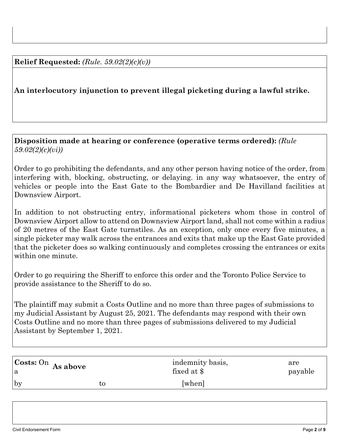#### **Relief Requested:** *(Rule. 59.02(2)(c)(v))*

## **An interlocutory injunction to prevent illegal picketing during a lawful strike.**

#### **Disposition made at hearing or conference (operative terms ordered):** *(Rule 59.02(2)(c)(vi))*

Order to go prohibiting the defendants, and any other person having notice of the order, from interfering with, blocking, obstructing, or delaying. in any way whatsoever, the entry of vehicles or people into the East Gate to the Bombardier and De Havilland facilities at Downsview Airport.

In addition to not obstructing entry, informational picketers whom those in control of Downsview Airport allow to attend on Downsview Airport land, shall not come within a radius of 20 metres of the East Gate turnstiles. As an exception, only once every five minutes, a single picketer may walk across the entrances and exits that make up the East Gate provided that the picketer does so walking continuously and completes crossing the entrances or exits within one minute.

Order to go requiring the Sheriff to enforce this order and the Toronto Police Service to provide assistance to the Sheriff to do so.

The plaintiff may submit a Costs Outline and no more than three pages of submissions to my Judicial Assistant by August 25, 2021. The defendants may respond with their own Costs Outline and no more than three pages of submissions delivered to my Judicial Assistant by September 1, 2021.

| $\operatorname{Costs: On}$ As above |    | indemnity basis, | are     |
|-------------------------------------|----|------------------|---------|
| a                                   |    | fixed at \$      | payable |
| by                                  | τo | [when]           |         |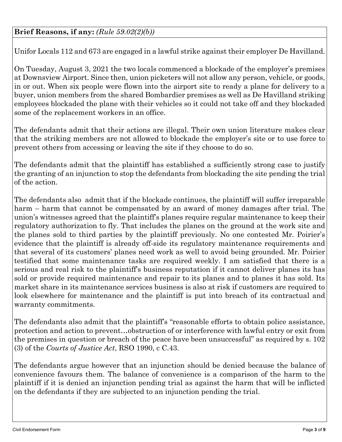Unifor Locals 112 and 673 are engaged in a lawful strike against their employer De Havilland.

On Tuesday, August 3, 2021 the two locals commenced a blockade of the employer's premises at Downsview Airport. Since then, union picketers will not allow any person, vehicle, or goods, in or out. When six people were flown into the airport site to ready a plane for delivery to a buyer, union members from the shared Bombardier premises as well as De Havilland striking employees blockaded the plane with their vehicles so it could not take off and they blockaded some of the replacement workers in an office.

The defendants admit that their actions are illegal. Their own union literature makes clear that the striking members are not allowed to blockade the employer's site or to use force to prevent others from accessing or leaving the site if they choose to do so.

The defendants admit that the plaintiff has established a sufficiently strong case to justify the granting of an injunction to stop the defendants from blockading the site pending the trial of the action.

The defendants also admit that if the blockade continues, the plaintiff will suffer irreparable harm – harm that cannot be compensated by an award of money damages after trial. The union's witnesses agreed that the plaintiff's planes require regular maintenance to keep their regulatory authorization to fly. That includes the planes on the ground at the work site and the planes sold to third parties by the plaintiff previously. No one contested Mr. Poirier's evidence that the plaintiff is already off-side its regulatory maintenance requirements and that several of its customers' planes need work as well to avoid being grounded. Mr. Poirier testified that some maintenance tasks are required weekly. I am satisfied that there is a serious and real risk to the plaintiff's business reputation if it cannot deliver planes its has sold or provide required maintenance and repair to its planes and to planes it has sold. Its market share in its maintenance services business is also at risk if customers are required to look elsewhere for maintenance and the plaintiff is put into breach of its contractual and warranty commitments.

The defendants also admit that the plaintiff's "reasonable efforts to obtain police assistance, protection and action to prevent…obstruction of or interference with lawful entry or exit from the premises in question or breach of the peace have been unsuccessful" as required by s. 102 (3) of the *Courts of Justice Act*, RSO 1990, c C.43.

The defendants argue however that an injunction should be denied because the balance of convenience favours them. The balance of convenience is a comparison of the harm to the plaintiff if it is denied an injunction pending trial as against the harm that will be inflicted on the defendants if they are subjected to an injunction pending the trial.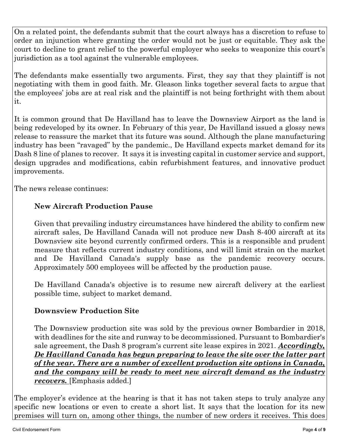On a related point, the defendants submit that the court always has a discretion to refuse to order an injunction where granting the order would not be just or equitable. They ask the court to decline to grant relief to the powerful employer who seeks to weaponize this court's jurisdiction as a tool against the vulnerable employees.

The defendants make essentially two arguments. First, they say that they plaintiff is not negotiating with them in good faith. Mr. Gleason links together several facts to argue that the employees' jobs are at real risk and the plaintiff is not being forthright with them about it.

It is common ground that De Havilland has to leave the Downsview Airport as the land is being redeveloped by its owner. In February of this year, De Havilland issued a glossy news release to reassure the market that its future was sound. Although the plane manufacturing industry has been "ravaged" by the pandemic., De Havilland expects market demand for its Dash 8 line of planes to recover. It says it is investing capital in customer service and support, design upgrades and modifications, cabin refurbishment features, and innovative product improvements.

The news release continues:

# **New Aircraft Production Pause**

Given that prevailing industry circumstances have hindered the ability to confirm new aircraft sales, De Havilland Canada will not produce new Dash 8-400 aircraft at its Downsview site beyond currently confirmed orders. This is a responsible and prudent measure that reflects current industry conditions, and will limit strain on the market and De Havilland Canada's supply base as the pandemic recovery occurs. Approximately 500 employees will be affected by the production pause.

De Havilland Canada's objective is to resume new aircraft delivery at the earliest possible time, subject to market demand.

### **Downsview Production Site**

The Downsview production site was sold by the previous owner Bombardier in 2018, with deadlines for the site and runway to be decommissioned. Pursuant to Bombardier's sale agreement, the Dash 8 program's current site lease expires in 2021. *Accordingly, De Havilland Canada has begun preparing to leave the site over the latter part of the year. There are a number of excellent production site options in Canada, and the company will be ready to meet new aircraft demand as the industry recovers.* [Emphasis added.]

The employer's evidence at the hearing is that it has not taken steps to truly analyze any specific new locations or even to create a short list. It says that the location for its new premises will turn on, among other things, the number of new orders it receives. This does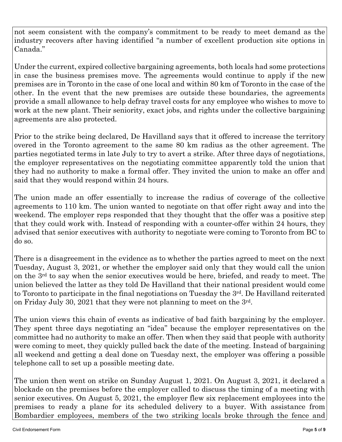not seem consistent with the company's commitment to be ready to meet demand as the industry recovers after having identified "a number of excellent production site options in Canada."

Under the current, expired collective bargaining agreements, both locals had some protections in case the business premises move. The agreements would continue to apply if the new premises are in Toronto in the case of one local and within 80 km of Toronto in the case of the other. In the event that the new premises are outside these boundaries, the agreements provide a small allowance to help defray travel costs for any employee who wishes to move to work at the new plant. Their seniority, exact jobs, and rights under the collective bargaining agreements are also protected.

Prior to the strike being declared, De Havilland says that it offered to increase the territory overed in the Toronto agreement to the same 80 km radius as the other agreement. The parties negotiated terms in late July to try to avert a strike. After three days of negotiations, the employer representatives on the negotiating committee apparently told the union that they had no authority to make a formal offer. They invited the union to make an offer and said that they would respond within 24 hours.

The union made an offer essentially to increase the radius of coverage of the collective agreements to 110 km. The union wanted to negotiate on that offer right away and into the weekend. The employer reps responded that they thought that the offer was a positive step that they could work with. Instead of responding with a counter-offer within 24 hours, they advised that senior executives with authority to negotiate were coming to Toronto from BC to do so.

There is a disagreement in the evidence as to whether the parties agreed to meet on the next Tuesday, August 3, 2021, or whether the employer said only that they would call the union on the 3rd to say when the senior executives would be here, briefed, and ready to meet. The union believed the latter as they told De Havilland that their national president would come to Toronto to participate in the final negotiations on Tuesday the 3<sup>rd</sup>. De Havilland reiterated on Friday July 30, 2021 that they were not planning to meet on the 3rd.

The union views this chain of events as indicative of bad faith bargaining by the employer. They spent three days negotiating an "idea" because the employer representatives on the committee had no authority to make an offer. Then when they said that people with authority were coming to meet, they quickly pulled back the date of the meeting. Instead of bargaining all weekend and getting a deal done on Tuesday next, the employer was offering a possible telephone call to set up a possible meeting date.

The union then went on strike on Sunday August 1, 2021. On August 3, 2021, it declared a blockade on the premises before the employer called to discuss the timing of a meeting with senior executives. On August 5, 2021, the employer flew six replacement employees into the premises to ready a plane for its scheduled delivery to a buyer. With assistance from Bombardier employees, members of the two striking locals broke through the fence and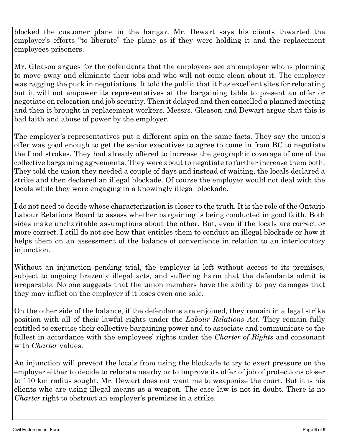blocked the customer plane in the hangar. Mr. Dewart says his clients thwarted the employer's efforts "to liberate" the plane as if they were holding it and the replacement employees prisoners.

Mr. Gleason argues for the defendants that the employees see an employer who is planning to move away and eliminate their jobs and who will not come clean about it. The employer was ragging the puck in negotiations. It told the public that it has excellent sites for relocating but it will not empower its representatives at the bargaining table to present an offer or negotiate on relocation and job security. Then it delayed and then cancelled a planned meeting and then it brought in replacement workers. Messrs. Gleason and Dewart argue that this is bad faith and abuse of power by the employer.

The employer's representatives put a different spin on the same facts. They say the union's offer was good enough to get the senior executives to agree to come in from BC to negotiate the final strokes. They had already offered to increase the geographic coverage of one of the collective bargaining agreements. They were about to negotiate to further increase them both. They told the union they needed a couple of days and instead of waiting, the locals declared a strike and then declared an illegal blockade. Of course the employer would not deal with the locals while they were engaging in a knowingly illegal blockade.

I do not need to decide whose characterization is closer to the truth. It is the role of the Ontario Labour Relations Board to assess whether bargaining is being conducted in good faith. Both sides make uncharitable assumptions about the other. But, even if the locals are correct or more correct, I still do not see how that entitles them to conduct an illegal blockade or how it helps them on an assessment of the balance of convenience in relation to an interlocutory injunction.

Without an injunction pending trial, the employer is left without access to its premises, subject to ongoing brazenly illegal acts, and suffering harm that the defendants admit is irreparable. No one suggests that the union members have the ability to pay damages that they may inflict on the employer if it loses even one sale.

On the other side of the balance, if the defendants are enjoined, they remain in a legal strike position with all of their lawful rights under the *Labour Relations Act.* They remain fully entitled to exercise their collective bargaining power and to associate and communicate to the fullest in accordance with the employees' rights under the *Charter of Rights* and consonant with *Charter* values.

An injunction will prevent the locals from using the blockade to try to exert pressure on the employer either to decide to relocate nearby or to improve its offer of job of protections closer to 110 km radius sought. Mr. Dewart does not want me to weaponize the court. But it is his clients who are using illegal means as a weapon. The case law is not in doubt. There is no *Charter* right to obstruct an employer's premises in a strike.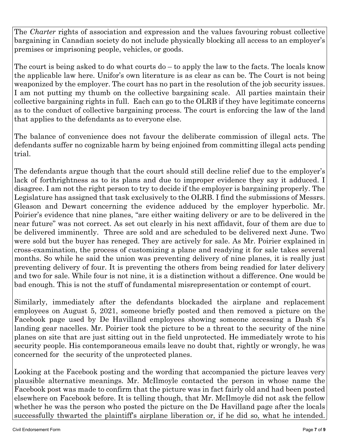The *Charter* rights of association and expression and the values favouring robust collective bargaining in Canadian society do not include physically blocking all access to an employer's premises or imprisoning people, vehicles, or goods.

The court is being asked to do what courts do – to apply the law to the facts. The locals know the applicable law here. Unifor's own literature is as clear as can be. The Court is not being weaponized by the employer. The court has no part in the resolution of the job security issues. I am not putting my thumb on the collective bargaining scale. All parties maintain their collective bargaining rights in full. Each can go to the OLRB if they have legitimate concerns as to the conduct of collective bargaining process. The court is enforcing the law of the land that applies to the defendants as to everyone else.

The balance of convenience does not favour the deliberate commission of illegal acts. The defendants suffer no cognizable harm by being enjoined from committing illegal acts pending trial.

The defendants argue though that the court should still decline relief due to the employer's lack of forthrightness as to its plans and due to improper evidence they say it adduced. I disagree. I am not the right person to try to decide if the employer is bargaining properly. The Legislature has assigned that task exclusively to the OLRB. I find the submissions of Messrs. Gleason and Dewart concerning the evidence adduced by the employer hyperbolic. Mr. Poirier's evidence that nine planes, "are either waiting delivery or are to be delivered in the near future" was not correct. As set out clearly in his next affidavit, four of them are due to be delivered imminently. Three are sold and are scheduled to be delivered next June. Two were sold but the buyer has reneged. They are actively for sale. As Mr. Poirier explained in cross-examination, the process of customizing a plane and readying it for sale takes several months. So while he said the union was preventing delivery of nine planes, it is really just preventing delivery of four. It is preventing the others from being readied for later delivery and two for sale. While four is not nine, it is a distinction without a difference. One would be bad enough. This is not the stuff of fundamental misrepresentation or contempt of court.

Similarly, immediately after the defendants blockaded the airplane and replacement employees on August 5, 2021, someone briefly posted and then removed a picture on the Facebook page used by De Havilland employees showing someone accessing a Dash 8's landing gear nacelles. Mr. Poirier took the picture to be a threat to the security of the nine planes on site that are just sitting out in the field unprotected. He immediately wrote to his security people. His contemporaneous emails leave no doubt that, rightly or wrongly, he was concerned for the security of the unprotected planes.

Looking at the Facebook posting and the wording that accompanied the picture leaves very plausible alternative meanings. Mr. McIlmoyle contacted the person in whose name the Facebook post was made to confirm that the picture was in fact fairly old and had been posted elsewhere on Facebook before. It is telling though, that Mr. McIlmoyle did not ask the fellow whether he was the person who posted the picture on the De Havilland page after the locals successfully thwarted the plaintiff's airplane liberation or, if he did so, what he intended.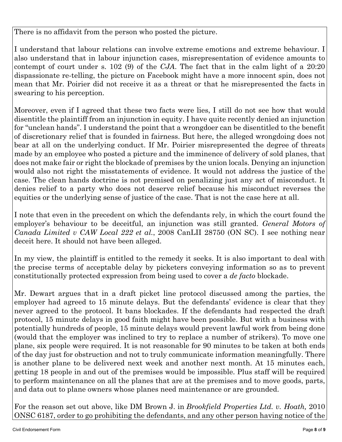There is no affidavit from the person who posted the picture.

I understand that labour relations can involve extreme emotions and extreme behaviour. I also understand that in labour injunction cases, misrepresentation of evidence amounts to contempt of court under s. 102 (9) of the *CJA*. The fact that in the calm light of a 20:20 dispassionate re-telling, the picture on Facebook might have a more innocent spin, does not mean that Mr. Poirier did not receive it as a threat or that he misrepresented the facts in swearing to his perception.

Moreover, even if I agreed that these two facts were lies, I still do not see how that would disentitle the plaintiff from an injunction in equity. I have quite recently denied an injunction for "unclean hands". I understand the point that a wrongdoer can be disentitled to the benefit of discretionary relief that is founded in fairness. But here, the alleged wrongdoing does not bear at all on the underlying conduct. If Mr. Poirier misrepresented the degree of threats made by an employee who posted a picture and the imminence of delivery of sold planes, that does not make fair or right the blockade of premises by the union locals. Denying an injunction would also not right the misstatements of evidence. It would not address the justice of the case. The clean hands doctrine is not premised on penalizing just any act of misconduct. It denies relief to a party who does not deserve relief because his misconduct reverses the equities or the underlying sense of justice of the case. That is not the case here at all.

I note that even in the precedent on which the defendants rely, in which the court found the employer's behaviour to be deceitful, an injunction was still granted. *General Motors of Canada Limited v CAW Local 222 et al.*, 2008 CanLII 28750 (ON SC). I see nothing near deceit here. It should not have been alleged.

In my view, the plaintiff is entitled to the remedy it seeks. It is also important to deal with the precise terms of acceptable delay by picketers conveying information so as to prevent constitutionally protected expression from being used to cover a *de facto* blockade.

Mr. Dewart argues that in a draft picket line protocol discussed among the parties, the employer had agreed to 15 minute delays. But the defendants' evidence is clear that they never agreed to the protocol. It bans blockades. If the defendants had respected the draft protocol, 15 minute delays in good faith might have been possible. But with a business with potentially hundreds of people, 15 minute delays would prevent lawful work from being done (would that the employer was inclined to try to replace a number of strikers). To move one plane, six people were required. It is not reasonable for 90 minutes to be taken at both ends of the day just for obstruction and not to truly communicate information meaningfully. There is another plane to be delivered next week and another next month. At 15 minutes each, getting 18 people in and out of the premises would be impossible. Plus staff will be required to perform maintenance on all the planes that are at the premises and to move goods, parts, and data out to plane owners whose planes need maintenance or are grounded.

For the reason set out above, like DM Brown J. in *Brookfield Properties Ltd. v. Hoath,* 2010 ONSC 6187, order to go prohibiting the defendants, and any other person having notice of the